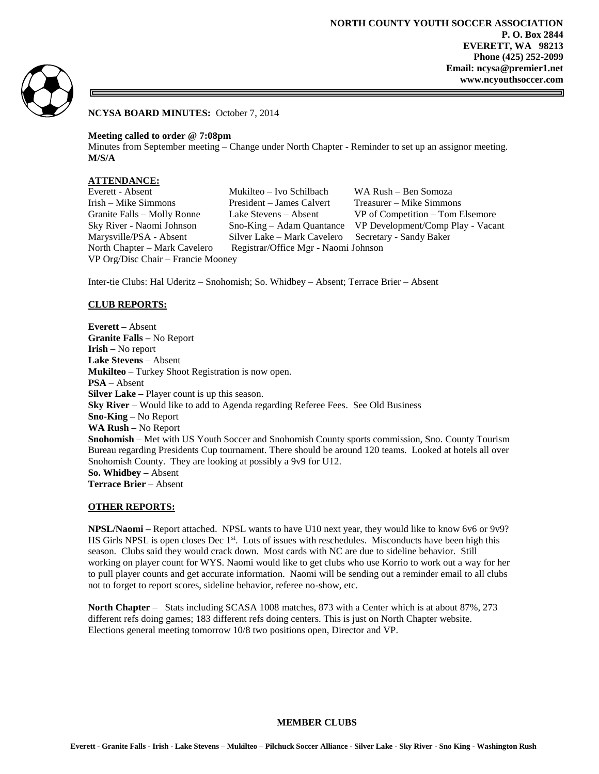

**NCYSA BOARD MINUTES:** October 7, 2014

#### **Meeting called to order @ 7:08pm**

Minutes from September meeting – Change under North Chapter - Reminder to set up an assignor meeting. **M/S/A**

# **ATTENDANCE:**

VP Org/Disc Chair – Francie Mooney

Everett - Absent Mukilteo – Ivo Schilbach WA Rush – Ben Somoza Irish – Mike Simmons President – James Calvert Treasurer – Mike Simmons Marysville/PSA - Absent Silver Lake – Mark Cavelero Secretary - Sandy Baker North Chapter – Mark Cavelero Registrar/Office Mgr - Naomi Johnson

Granite Falls – Molly Ronne Lake Stevens – Absent VP of Competition – Tom Elsemore Sky River - Naomi Johnson Sno-King – Adam Quantance VP Development/Comp Play - Vacant

Inter-tie Clubs: Hal Uderitz – Snohomish; So. Whidbey – Absent; Terrace Brier – Absent

### **CLUB REPORTS:**

**Everett –** Absent **Granite Falls –** No Report **Irish –** No report **Lake Stevens** – Absent **Mukilteo** – Turkey Shoot Registration is now open. **PSA** – Absent **Silver Lake –** Player count is up this season. **Sky River** – Would like to add to Agenda regarding Referee Fees. See Old Business **Sno-King –** No Report **WA Rush –** No Report **Snohomish** – Met with US Youth Soccer and Snohomish County sports commission, Sno. County Tourism Bureau regarding Presidents Cup tournament. There should be around 120 teams. Looked at hotels all over Snohomish County. They are looking at possibly a 9v9 for U12. **So. Whidbey –** Absent **Terrace Brier** – Absent

### **OTHER REPORTS:**

**NPSL/Naomi –** Report attached. NPSL wants to have U10 next year, they would like to know 6v6 or 9v9? HS Girls NPSL is open closes Dec 1<sup>st</sup>. Lots of issues with reschedules. Misconducts have been high this season. Clubs said they would crack down. Most cards with NC are due to sideline behavior. Still working on player count for WYS. Naomi would like to get clubs who use Korrio to work out a way for her to pull player counts and get accurate information. Naomi will be sending out a reminder email to all clubs not to forget to report scores, sideline behavior, referee no-show, etc.

**North Chapter** – Stats including SCASA 1008 matches, 873 with a Center which is at about 87%, 273 different refs doing games; 183 different refs doing centers. This is just on North Chapter website. Elections general meeting tomorrow 10/8 two positions open, Director and VP.

### **MEMBER CLUBS**